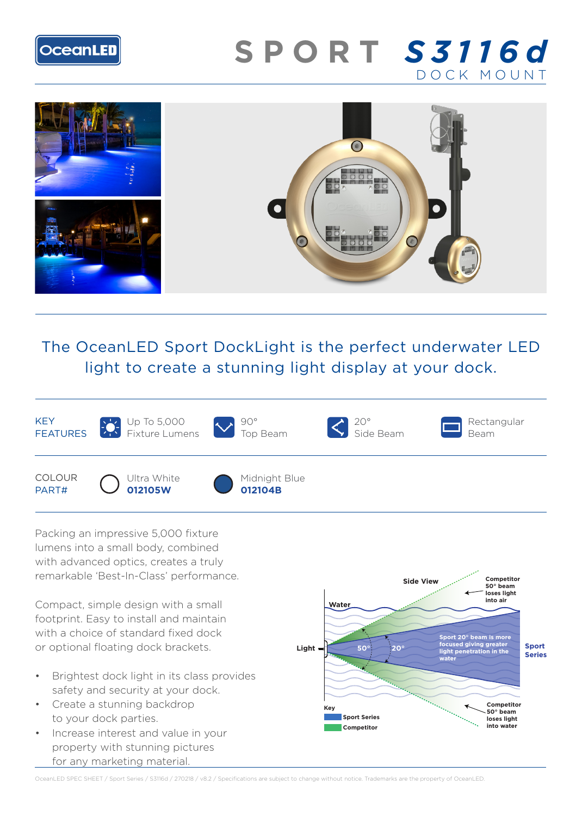

# **SPORT** *S3116d* DOCK MOUNT



# The OceanLED Sport DockLight is the perfect underwater LED light to create a stunning light display at your dock.



Packing an impressive 5,000 fixture lumens into a small body, combined with advanced optics, creates a truly remarkable 'Best-In-Class' performance.

Compact, simple design with a small footprint. Easy to install and maintain with a choice of standard fixed dock or optional floating dock brackets.

- Brightest dock light in its class provides safety and security at your dock.
- Create a stunning backdrop to your dock parties.
- Increase interest and value in your property with stunning pictures for any marketing material.



OceanLED SPEC SHEET / Sport Series / S3116d / 270218 / v8.2 / Specifications are subject to change without notice. Trademarks are the property of OceanLED.